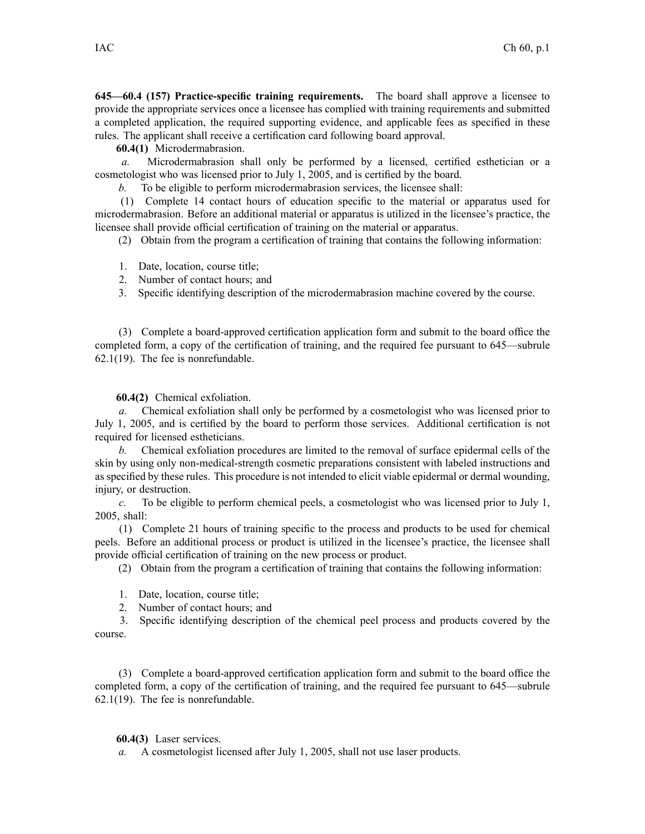**645—60.4 (157) Practice-specific training requirements.** The board shall approve <sup>a</sup> licensee to provide the appropriate services once <sup>a</sup> licensee has complied with training requirements and submitted <sup>a</sup> completed application, the required supporting evidence, and applicable fees as specified in these rules. The applicant shall receive <sup>a</sup> certification card following board approval.

**60.4(1)** Microdermabrasion.

*a.* Microdermabrasion shall only be performed by <sup>a</sup> licensed, certified esthetician or <sup>a</sup> cosmetologist who was licensed prior to July 1, 2005, and is certified by the board.

*b.* To be eligible to perform microdermabrasion services, the licensee shall:

(1) Complete 14 contact hours of education specific to the material or apparatus used for microdermabrasion. Before an additional material or apparatus is utilized in the licensee's practice, the licensee shall provide official certification of training on the material or apparatus.

(2) Obtain from the program <sup>a</sup> certification of training that contains the following information:

1. Date, location, course title;

- 2. Number of contact hours; and
- 3. Specific identifying description of the microdermabrasion machine covered by the course.

(3) Complete <sup>a</sup> board-approved certification application form and submit to the board office the completed form, <sup>a</sup> copy of the certification of training, and the required fee pursuan<sup>t</sup> to 645—subrule 62.1(19). The fee is nonrefundable.

**60.4(2)** Chemical exfoliation.

*a.* Chemical exfoliation shall only be performed by <sup>a</sup> cosmetologist who was licensed prior to July 1, 2005, and is certified by the board to perform those services. Additional certification is not required for licensed estheticians.

*b.* Chemical exfoliation procedures are limited to the removal of surface epidermal cells of the skin by using only non-medical-strength cosmetic preparations consistent with labeled instructions and as specified by these rules. This procedure is not intended to elicit viable epidermal or dermal wounding, injury, or destruction.

*c.* To be eligible to perform chemical peels, <sup>a</sup> cosmetologist who was licensed prior to July 1, 2005, shall:

(1) Complete 21 hours of training specific to the process and products to be used for chemical peels. Before an additional process or product is utilized in the licensee's practice, the licensee shall provide official certification of training on the new process or product.

(2) Obtain from the program <sup>a</sup> certification of training that contains the following information:

- 1. Date, location, course title;
- 2. Number of contact hours; and
- 3. Specific identifying description of the chemical peel process and products covered by the course.

(3) Complete <sup>a</sup> board-approved certification application form and submit to the board office the completed form, <sup>a</sup> copy of the certification of training, and the required fee pursuan<sup>t</sup> to 645—subrule 62.1(19). The fee is nonrefundable.

**60.4(3)** Laser services.

*a.* A cosmetologist licensed after July 1, 2005, shall not use laser products.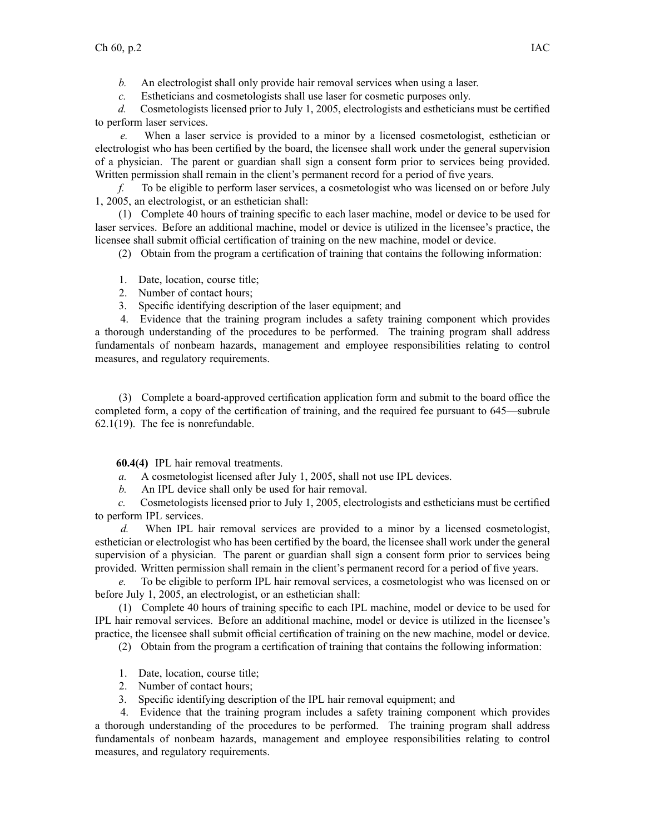*b.* An electrologist shall only provide hair removal services when using <sup>a</sup> laser.

*c.* Estheticians and cosmetologists shall use laser for cosmetic purposes only.

*d.* Cosmetologists licensed prior to July 1, 2005, electrologists and estheticians must be certified to perform laser services.

*e.* When <sup>a</sup> laser service is provided to <sup>a</sup> minor by <sup>a</sup> licensed cosmetologist, esthetician or electrologist who has been certified by the board, the licensee shall work under the general supervision of <sup>a</sup> physician. The paren<sup>t</sup> or guardian shall sign <sup>a</sup> consent form prior to services being provided. Written permission shall remain in the client's permanen<sup>t</sup> record for <sup>a</sup> period of five years.

*f.* To be eligible to perform laser services, <sup>a</sup> cosmetologist who was licensed on or before July 1, 2005, an electrologist, or an esthetician shall:

(1) Complete 40 hours of training specific to each laser machine, model or device to be used for laser services. Before an additional machine, model or device is utilized in the licensee's practice, the licensee shall submit official certification of training on the new machine, model or device.

(2) Obtain from the program <sup>a</sup> certification of training that contains the following information:

- 1. Date, location, course title;
- 2. Number of contact hours;
- 3. Specific identifying description of the laser equipment; and

4. Evidence that the training program includes <sup>a</sup> safety training componen<sup>t</sup> which provides <sup>a</sup> thorough understanding of the procedures to be performed. The training program shall address fundamentals of nonbeam hazards, managemen<sup>t</sup> and employee responsibilities relating to control measures, and regulatory requirements.

(3) Complete <sup>a</sup> board-approved certification application form and submit to the board office the completed form, <sup>a</sup> copy of the certification of training, and the required fee pursuan<sup>t</sup> to 645—subrule 62.1(19). The fee is nonrefundable.

**60.4(4)** IPL hair removal treatments.

- *a.* A cosmetologist licensed after July 1, 2005, shall not use IPL devices.
- *b.* An IPL device shall only be used for hair removal.

*c.* Cosmetologists licensed prior to July 1, 2005, electrologists and estheticians must be certified to perform IPL services.

*d.* When IPL hair removal services are provided to <sup>a</sup> minor by <sup>a</sup> licensed cosmetologist, esthetician or electrologist who has been certified by the board, the licensee shall work under the general supervision of <sup>a</sup> physician. The paren<sup>t</sup> or guardian shall sign <sup>a</sup> consent form prior to services being provided. Written permission shall remain in the client's permanen<sup>t</sup> record for <sup>a</sup> period of five years.

*e.* To be eligible to perform IPL hair removal services, <sup>a</sup> cosmetologist who was licensed on or before July 1, 2005, an electrologist, or an esthetician shall:

(1) Complete 40 hours of training specific to each IPL machine, model or device to be used for IPL hair removal services. Before an additional machine, model or device is utilized in the licensee's practice, the licensee shall submit official certification of training on the new machine, model or device.

(2) Obtain from the program <sup>a</sup> certification of training that contains the following information:

- 1. Date, location, course title;
- 2. Number of contact hours;
- 3. Specific identifying description of the IPL hair removal equipment; and

4. Evidence that the training program includes <sup>a</sup> safety training componen<sup>t</sup> which provides <sup>a</sup> thorough understanding of the procedures to be performed. The training program shall address fundamentals of nonbeam hazards, managemen<sup>t</sup> and employee responsibilities relating to control measures, and regulatory requirements.